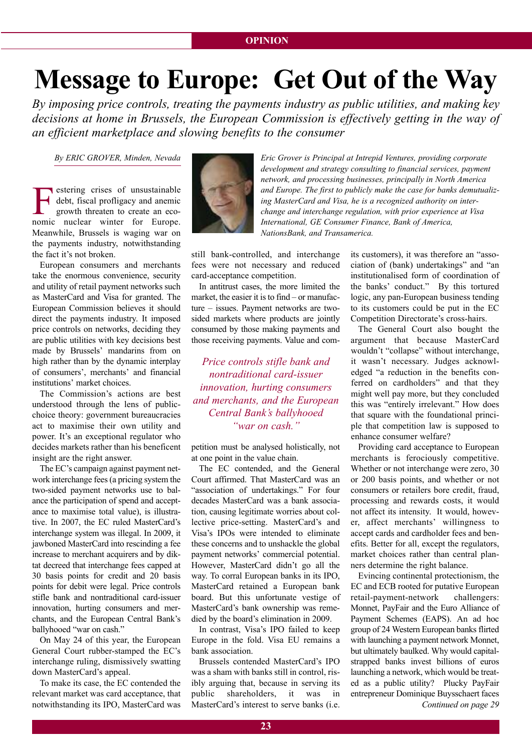# **Message to Europe: Get Out of the way**

*By imposing price controls, treating the payments industry as public utilities, and making key decisions at home in Brussels, the European Commission is effectively getting in the way of an efficient marketplace and slowing benefits to the consumer*

Extering crises of unsustainable<br>debt, fiscal profligacy and anemic<br>growth threaten to create an eco-<br>pamie, puelogr, winter, for Europe debt, fiscal profligacy and anemic growth threaten to create an economic nuclear winter for Europe. Meanwhile, Brussels is waging war on the payments industry, notwithstanding the fact it's not broken.

European consumers and merchants take the enormous convenience, security and utility of retail payment networks such as MasterCard and Visa for granted. The European Commission believes it should direct the payments industry. It imposed price controls on networks, deciding they are public utilities with key decisions best made by Brussels' mandarins from on high rather than by the dynamic interplay of consumers', merchants' and financial institutions' market choices.

The Commission's actions are best understood through the lens of publicchoice theory: government bureaucracies act to maximise their own utility and power. It's an exceptional regulator who decides markets rather than his beneficent insight are the right answer.

The EC's campaign against payment network interchange fees (a pricing system the two-sided payment networks use to balance the participation of spend and acceptance to maximise total value), is illustrative. In 2007, the EC ruled MasterCard's interchange system was illegal. In 2009, it jawboned MasterCard into rescinding a fee increase to merchant acquirers and by diktat decreed that interchange fees capped at 30 basis points for credit and 20 basis points for debit were legal. Price controls stifle bank and nontraditional card-issuer innovation, hurting consumers and merchants, and the European Central Bank's ballyhooed "war on cash."

On May 24 of this year, the European General Court rubber-stamped the EC's interchange ruling, dismissively swatting down MasterCard's appeal.

To make its case, the EC contended the relevant market was card acceptance, that notwithstanding its IPO, MasterCard was



*By EriC GrOVEr, Minden, Nevada Eric Grover is Principal at intrepid Ventures, providing corporate development and strategy consulting to financial services, payment network, and processing businesses, principally in North America and Europe. The first to publicly make the case for banks demutualizing MasterCard and Visa, he is a recognized authority on interchange and interchange regulation, with prior experience at Visa international, GE Consumer finance, Bank of America, NationsBank, and Transamerica.*

> still bank-controlled, and interchange fees were not necessary and reduced card-acceptance competition.

> In antitrust cases, the more limited the market, the easier it is to find – or manufacture – issues. Payment networks are twosided markets where products are jointly consumed by those making payments and those receiving payments. Value and com-

*Price controls stifle bank and nontraditional card-issuer innovation, hurting consumers and merchants, and the European Central Bank's ballyhooed "war on cash."*

petition must be analysed holistically, not at one point in the value chain.

The EC contended, and the General Court affirmed. That MasterCard was an "association of undertakings." For four decades MasterCard was a bank association, causing legitimate worries about collective price-setting. MasterCard's and Visa's IPOs were intended to eliminate these concerns and to unshackle the global payment networks' commercial potential. However, MasterCard didn't go all the way. To corral European banks in its IPO, MasterCard retained a European bank board. But this unfortunate vestige of MasterCard's bank ownership was remedied by the board's elimination in 2009.

In contrast, Visa's IPO failed to keep Europe in the fold. Visa EU remains a bank association.

Brussels contended MasterCard's IPO was a sham with banks still in control, risibly arguing that, because in serving its public shareholders, it was in MasterCard's interest to serve banks (i.e. its customers), it was therefore an "association of (bank) undertakings" and "an institutionalised form of coordination of the banks' conduct." By this tortured logic, any pan-European business tending to its customers could be put in the EC Competition Directorate's cross-hairs.

The General Court also bought the argument that because MasterCard wouldn't "collapse" without interchange, it wasn't necessary. Judges acknowledged "a reduction in the benefits conferred on cardholders" and that they might well pay more, but they concluded this was "entirely irrelevant." How does that square with the foundational principle that competition law is supposed to enhance consumer welfare?

Providing card acceptance to European merchants is ferociously competitive. Whether or not interchange were zero, 30 or 200 basis points, and whether or not consumers or retailers bore credit, fraud, processing and rewards costs, it would not affect its intensity. It would, however, affect merchants' willingness to accept cards and cardholder fees and benefits. Better for all, except the regulators, market choices rather than central planners determine the right balance.

Evincing continental protectionism, the EC and ECB rooted for putative European retail-payment-network challengers: Monnet, PayFair and the Euro Alliance of Payment Schemes (EAPS). An ad hoc group of 24 Western European banks flirted with launching a payment network Monnet, but ultimately baulked. Why would capitalstrapped banks invest billions of euros launching a network, which would be treated as a public utility? Plucky PayFair entrepreneur Dominique Buysschaert faces *Continued on page 29*